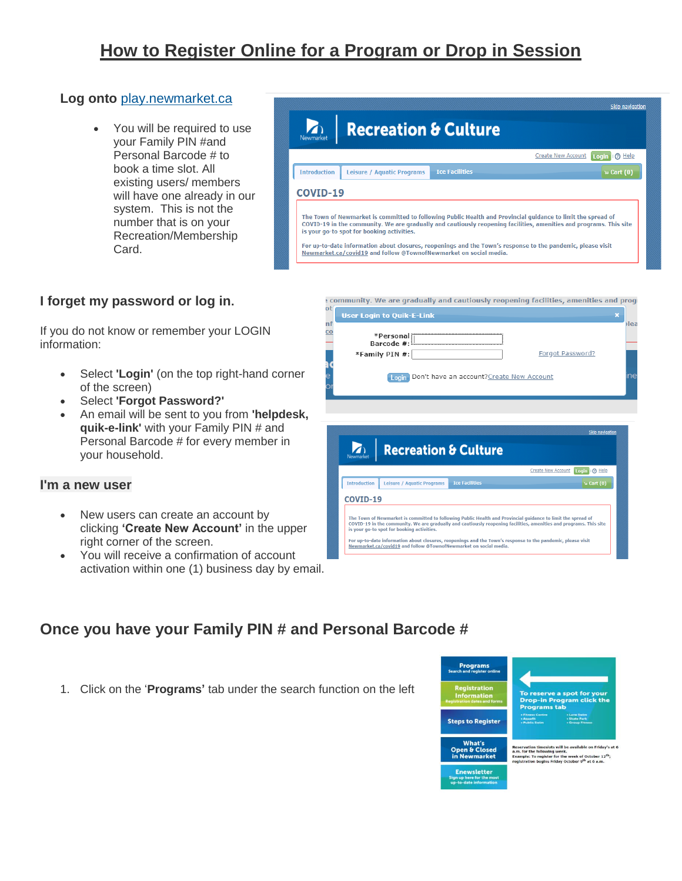# **How to Register Online for a Program or Drop in Session**

### **Log onto** [play.newmarket.ca](https://play.newmarket.ca/Start/start.asp)

 You will be required to use your Family PIN #and Personal Barcode # to book a time slot. All existing users/ members will have one already in our system. This is not the number that is on your Recreation/Membership Card.



## **I forget my password or log in.**

If you do not know or remember your LOGIN information:

- Select **'Login'** (on the top right-hand corner of the screen)
- Select **'Forgot Password?'**
- An email will be sent to you from **'helpdesk, quik-e-link'** with your Family PIN # and Personal Barcode # for every member in your household.

#### **I'm a new user**

- New users can create an account by clicking **'Create New Account'** in the upper right corner of the screen.
- You will receive a confirmation of account activation within one (1) business day by email.



community. We are gradually and cautiously reopening facilities, amenities and proge



# **Once you have your Family PIN # and Personal Barcode #**

1. Click on the '**Programs'** tab under the search function on the left

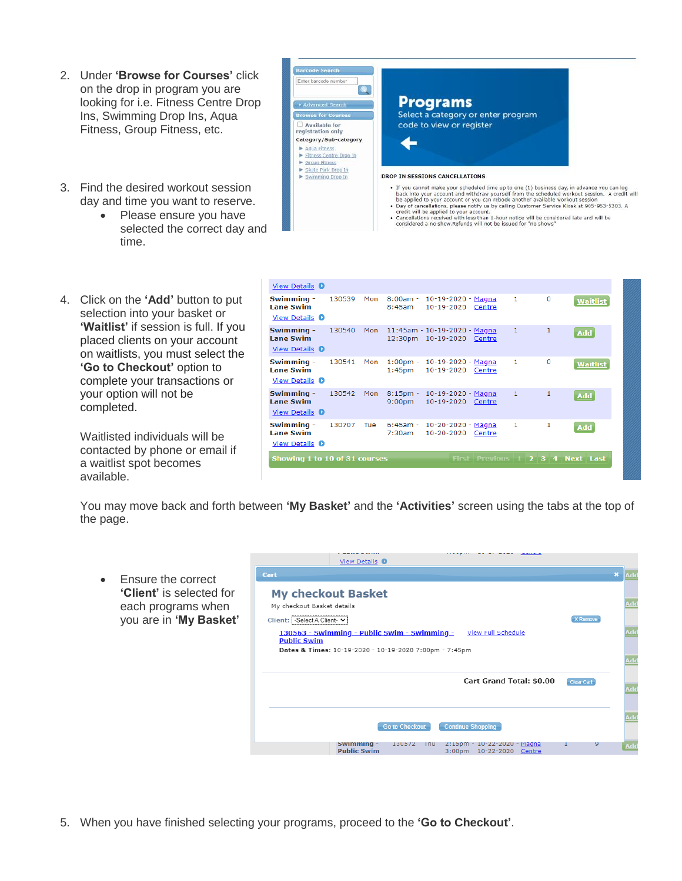- 2. Under **'Browse for Courses'** click on the drop in program you are looking for i.e. Fitness Centre Drop Ins, Swimming Drop Ins, Aqua Fitness, Group Fitness, etc.
- 3. Find the desired workout session day and time you want to reserve.
	- Please ensure you have selected the correct day and time.
- 4. Click on the **'Add'** button to put selection into your basket or **'Waitlist'** if session is full. If you placed clients on your account on waitlists, you must select the **'Go to Checkout'** option to complete your transactions or your option will not be completed.

Waitlisted individuals will be contacted by phone or email if a waitlist spot becomes available.

| Enter barcode number                                                                                   |                                                                                                                                                                                                                                                                                                                                                                                                                                                                                                                                                                                            |
|--------------------------------------------------------------------------------------------------------|--------------------------------------------------------------------------------------------------------------------------------------------------------------------------------------------------------------------------------------------------------------------------------------------------------------------------------------------------------------------------------------------------------------------------------------------------------------------------------------------------------------------------------------------------------------------------------------------|
| Advanced Search                                                                                        | <b>Programs</b>                                                                                                                                                                                                                                                                                                                                                                                                                                                                                                                                                                            |
| <b>Browse for Courses</b>                                                                              | Select a category or enter program                                                                                                                                                                                                                                                                                                                                                                                                                                                                                                                                                         |
| Available for<br>registration only                                                                     | code to view or register                                                                                                                                                                                                                                                                                                                                                                                                                                                                                                                                                                   |
| Category/Sub-category<br>Agua Fitness<br>Fitness Centre Drop In<br>Group Fitness<br>Skate Park Drop In |                                                                                                                                                                                                                                                                                                                                                                                                                                                                                                                                                                                            |
| Swimming Drop In                                                                                       | <b>DROP IN SESSIONS CANCELLATIONS</b>                                                                                                                                                                                                                                                                                                                                                                                                                                                                                                                                                      |
|                                                                                                        | · If you cannot make your scheduled time up to one (1) business day, in advance you can log<br>back into your account and withdraw yourself from the scheduled workout session. A credit will<br>be applied to your account or you can rebook another available workout session<br>. Day of cancellations, please notify us by calling Customer Service Kiosk at 905-953-5303. A<br>credit will be applied to your account.<br>. Cancellations received with less than 1-hour notice will be considered late and will be<br>considered a no show Refunds will not be issued for "no shows" |

| View Details 0                                          |        |     |        |                                                                |                         |                     |             |                  |
|---------------------------------------------------------|--------|-----|--------|----------------------------------------------------------------|-------------------------|---------------------|-------------|------------------|
| Swimming -<br><b>Lane Swim</b><br><b>View Details O</b> | 130539 | Mon | 8:45am | 8:00am - 10-19-2020 - Magna<br>10-19-2020 Centre               |                         | $\mathbf{1}$        | $\mathbf 0$ | <b>Waitlist</b>  |
| Swimming -<br><b>Lane Swim</b><br>View Details 0        | 130540 |     |        | Mon 11:45am - 10-19-2020 - Magna<br>12:30pm 10-19-2020         | Centre                  | 1                   |             | <b>Add</b>       |
| Swimming -<br><b>Lane Swim</b><br>View Details 0        | 130541 | Mon |        | $1:00 \text{pm} - 10 - 19 - 2020 - Magna$<br>1:45pm 10-19-2020 | Centre                  | 1                   | $\Omega$    | Waitlist         |
| Swimming -<br><b>Lane Swim</b><br><b>View Details O</b> | 130542 | Mon |        | 8:15pm - 10-19-2020 - Magna<br>9:00pm 10-19-2020 Centre        |                         | 1                   | 1           | <b>Add</b>       |
| Swimming -<br><b>Lane Swim</b><br>View Details 0        | 130707 | Tue | 7:30am | 6:45am - 10-20-2020 - Magna<br>10-20-2020                      | Centre                  | 1                   | 1           | <b>Add</b>       |
| Showing 1 to 10 of 31 courses                           |        |     |        |                                                                | <b>First Previous 1</b> | $2 \quad 3 \quad 4$ |             | <b>Next Last</b> |

You may move back and forth between **'My Basket'** and the **'Activities'** screen using the tabs at the top of the page.

 Ensure the correct **'Client'** is selected for each programs when you are in **'My Basket'**



5. When you have finished selecting your programs, proceed to the **'Go to Checkout'**.